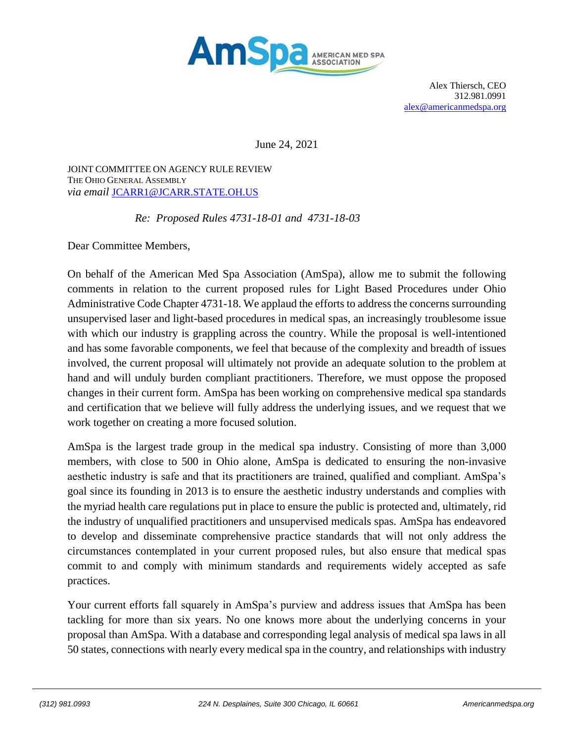

Alex Thiersch, CEO 312.981.0991 [alex@americanmedspa.org](mailto:alex@americanmedspa.org)

June 24, 2021

JOINT COMMITTEE ON AGENCY RULE REVIEW THE OHIO GENERAL ASSEMBLY *via email* [JCARR1@JCARR.STATE.OH.US](mailto:JCARR1@JCARR.STATE.OH.US)

*Re: Proposed Rules 4731-18-01 and 4731-18-03*

Dear Committee Members,

On behalf of the American Med Spa Association (AmSpa), allow me to submit the following comments in relation to the current proposed rules for Light Based Procedures under Ohio Administrative Code Chapter 4731-18. We applaud the efforts to address the concerns surrounding unsupervised laser and light-based procedures in medical spas, an increasingly troublesome issue with which our industry is grappling across the country. While the proposal is well-intentioned and has some favorable components, we feel that because of the complexity and breadth of issues involved, the current proposal will ultimately not provide an adequate solution to the problem at hand and will unduly burden compliant practitioners. Therefore, we must oppose the proposed changes in their current form. AmSpa has been working on comprehensive medical spa standards and certification that we believe will fully address the underlying issues, and we request that we work together on creating a more focused solution.

AmSpa is the largest trade group in the medical spa industry. Consisting of more than 3,000 members, with close to 500 in Ohio alone, AmSpa is dedicated to ensuring the non-invasive aesthetic industry is safe and that its practitioners are trained, qualified and compliant. AmSpa's goal since its founding in 2013 is to ensure the aesthetic industry understands and complies with the myriad health care regulations put in place to ensure the public is protected and, ultimately, rid the industry of unqualified practitioners and unsupervised medicals spas. AmSpa has endeavored to develop and disseminate comprehensive practice standards that will not only address the circumstances contemplated in your current proposed rules, but also ensure that medical spas commit to and comply with minimum standards and requirements widely accepted as safe practices.

Your current efforts fall squarely in AmSpa's purview and address issues that AmSpa has been tackling for more than six years. No one knows more about the underlying concerns in your proposal than AmSpa. With a database and corresponding legal analysis of medical spa laws in all 50 states, connections with nearly every medical spa in the country, and relationships with industry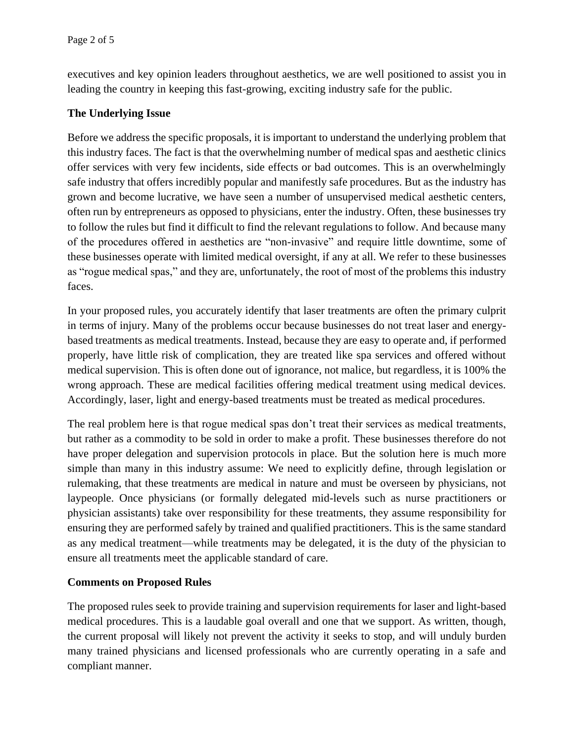executives and key opinion leaders throughout aesthetics, we are well positioned to assist you in leading the country in keeping this fast-growing, exciting industry safe for the public.

### **The Underlying Issue**

Before we address the specific proposals, it is important to understand the underlying problem that this industry faces. The fact is that the overwhelming number of medical spas and aesthetic clinics offer services with very few incidents, side effects or bad outcomes. This is an overwhelmingly safe industry that offers incredibly popular and manifestly safe procedures. But as the industry has grown and become lucrative, we have seen a number of unsupervised medical aesthetic centers, often run by entrepreneurs as opposed to physicians, enter the industry. Often, these businesses try to follow the rules but find it difficult to find the relevant regulations to follow. And because many of the procedures offered in aesthetics are "non-invasive" and require little downtime, some of these businesses operate with limited medical oversight, if any at all. We refer to these businesses as "rogue medical spas," and they are, unfortunately, the root of most of the problems this industry faces.

In your proposed rules, you accurately identify that laser treatments are often the primary culprit in terms of injury. Many of the problems occur because businesses do not treat laser and energybased treatments as medical treatments. Instead, because they are easy to operate and, if performed properly, have little risk of complication, they are treated like spa services and offered without medical supervision. This is often done out of ignorance, not malice, but regardless, it is 100% the wrong approach. These are medical facilities offering medical treatment using medical devices. Accordingly, laser, light and energy-based treatments must be treated as medical procedures.

The real problem here is that rogue medical spas don't treat their services as medical treatments, but rather as a commodity to be sold in order to make a profit. These businesses therefore do not have proper delegation and supervision protocols in place. But the solution here is much more simple than many in this industry assume: We need to explicitly define, through legislation or rulemaking, that these treatments are medical in nature and must be overseen by physicians, not laypeople. Once physicians (or formally delegated mid-levels such as nurse practitioners or physician assistants) take over responsibility for these treatments, they assume responsibility for ensuring they are performed safely by trained and qualified practitioners. This is the same standard as any medical treatment—while treatments may be delegated, it is the duty of the physician to ensure all treatments meet the applicable standard of care.

### **Comments on Proposed Rules**

The proposed rules seek to provide training and supervision requirements for laser and light-based medical procedures. This is a laudable goal overall and one that we support. As written, though, the current proposal will likely not prevent the activity it seeks to stop, and will unduly burden many trained physicians and licensed professionals who are currently operating in a safe and compliant manner.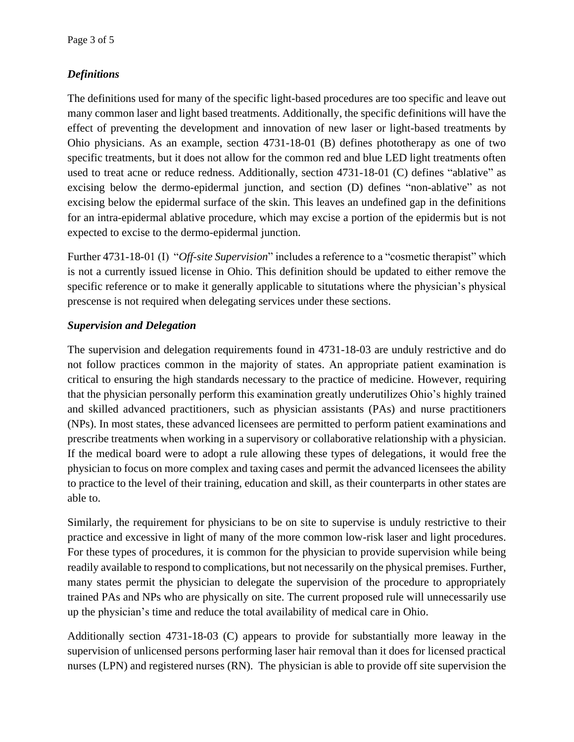# *Definitions*

The definitions used for many of the specific light-based procedures are too specific and leave out many common laser and light based treatments. Additionally, the specific definitions will have the effect of preventing the development and innovation of new laser or light-based treatments by Ohio physicians. As an example, section 4731-18-01 (B) defines phototherapy as one of two specific treatments, but it does not allow for the common red and blue LED light treatments often used to treat acne or reduce redness. Additionally, section 4731-18-01 (C) defines "ablative" as excising below the dermo-epidermal junction, and section (D) defines "non-ablative" as not excising below the epidermal surface of the skin. This leaves an undefined gap in the definitions for an intra-epidermal ablative procedure, which may excise a portion of the epidermis but is not expected to excise to the dermo-epidermal junction.

Further 4731-18-01 (I) "*Off-site Supervision*" includes a reference to a "cosmetic therapist" which is not a currently issued license in Ohio. This definition should be updated to either remove the specific reference or to make it generally applicable to situtations where the physician's physical prescense is not required when delegating services under these sections.

## *Supervision and Delegation*

The supervision and delegation requirements found in 4731-18-03 are unduly restrictive and do not follow practices common in the majority of states. An appropriate patient examination is critical to ensuring the high standards necessary to the practice of medicine. However, requiring that the physician personally perform this examination greatly underutilizes Ohio's highly trained and skilled advanced practitioners, such as physician assistants (PAs) and nurse practitioners (NPs). In most states, these advanced licensees are permitted to perform patient examinations and prescribe treatments when working in a supervisory or collaborative relationship with a physician. If the medical board were to adopt a rule allowing these types of delegations, it would free the physician to focus on more complex and taxing cases and permit the advanced licensees the ability to practice to the level of their training, education and skill, as their counterparts in other states are able to.

Similarly, the requirement for physicians to be on site to supervise is unduly restrictive to their practice and excessive in light of many of the more common low-risk laser and light procedures. For these types of procedures, it is common for the physician to provide supervision while being readily available to respond to complications, but not necessarily on the physical premises. Further, many states permit the physician to delegate the supervision of the procedure to appropriately trained PAs and NPs who are physically on site. The current proposed rule will unnecessarily use up the physician's time and reduce the total availability of medical care in Ohio.

Additionally section 4731-18-03 (C) appears to provide for substantially more leaway in the supervision of unlicensed persons performing laser hair removal than it does for licensed practical nurses (LPN) and registered nurses (RN). The physician is able to provide off site supervision the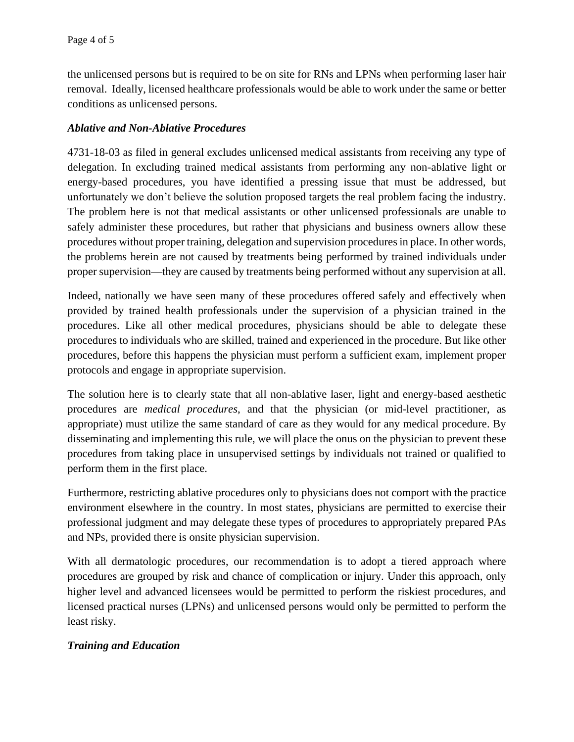the unlicensed persons but is required to be on site for RNs and LPNs when performing laser hair removal. Ideally, licensed healthcare professionals would be able to work under the same or better conditions as unlicensed persons.

### *Ablative and Non-Ablative Procedures*

4731-18-03 as filed in general excludes unlicensed medical assistants from receiving any type of delegation. In excluding trained medical assistants from performing any non-ablative light or energy-based procedures, you have identified a pressing issue that must be addressed, but unfortunately we don't believe the solution proposed targets the real problem facing the industry. The problem here is not that medical assistants or other unlicensed professionals are unable to safely administer these procedures, but rather that physicians and business owners allow these procedures without proper training, delegation and supervision procedures in place. In other words, the problems herein are not caused by treatments being performed by trained individuals under proper supervision—they are caused by treatments being performed without any supervision at all.

Indeed, nationally we have seen many of these procedures offered safely and effectively when provided by trained health professionals under the supervision of a physician trained in the procedures. Like all other medical procedures, physicians should be able to delegate these procedures to individuals who are skilled, trained and experienced in the procedure. But like other procedures, before this happens the physician must perform a sufficient exam, implement proper protocols and engage in appropriate supervision.

The solution here is to clearly state that all non-ablative laser, light and energy-based aesthetic procedures are *medical procedures*, and that the physician (or mid-level practitioner, as appropriate) must utilize the same standard of care as they would for any medical procedure. By disseminating and implementing this rule, we will place the onus on the physician to prevent these procedures from taking place in unsupervised settings by individuals not trained or qualified to perform them in the first place.

Furthermore, restricting ablative procedures only to physicians does not comport with the practice environment elsewhere in the country. In most states, physicians are permitted to exercise their professional judgment and may delegate these types of procedures to appropriately prepared PAs and NPs, provided there is onsite physician supervision.

With all dermatologic procedures, our recommendation is to adopt a tiered approach where procedures are grouped by risk and chance of complication or injury. Under this approach, only higher level and advanced licensees would be permitted to perform the riskiest procedures, and licensed practical nurses (LPNs) and unlicensed persons would only be permitted to perform the least risky.

### *Training and Education*